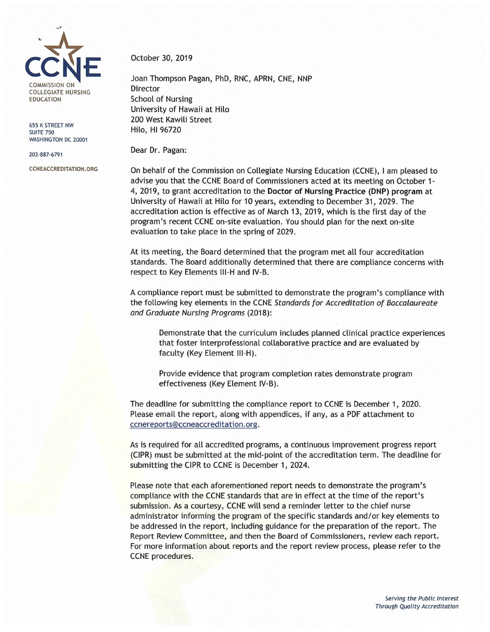

655 K STREET NW **SUITE 750** WASHINGTON DC 20001

202-887-6791

[CCNEACCREDITATION.ORG](http://ccneaccreditation.org/)

October 30, 2019

Joan Thompson Pagan, PhD, RNC, APRN, CNE, NNP Director School of Nursing University of Hawaii at Hilo 200 West Kawili Street Hilo, HI 96720

Dear Dr. Pagan:

On behalf of the Commission on Collegiate Nursing Education (CCNE), I am pleased to advise you that the CCNE Board of Commissioners acted at its meeting on October 1- 4, 2019, to grant accreditation to the **Doctor of Nursing Practice (DNP) program** at University of Hawaii at Hilo for 10 years, extending to December 31 , 2029. The accreditation action is effective as of March 13, 2019, which is the first day of the program's recent CCNE on-site evaluation. You should plan for the next on-site evaluation to take place in the spring of 2029.

At its meeting, the Board determined that the program met all four accreditation standards. The Board additionally determined that there are compliance concerns with respect to Key Elements 111-H and IV-B.

A compliance report must be submitted to demonstrate the program's compliance with the following key elements in the CCNE Standards for Accreditation of Baccalaureate and Graduate Nursing Programs (2018):

Demonstrate that the curriculum includes planned clinical practice experiences that foster interprofessional collaborative practice and are evaluated by faculty (Key Element 111-H).

Provide evidence that program completion rates demonstrate program effectiveness (Key Element IV-B).

The deadline for submitting the compliance report to CCNE is December 1, 2020. Please email the report, along with appendices, if any, as a PDF attachment to [ccnereports@ccneaccreditation.org](mailto:ccnereports@ccneaccreditation.org).

As is required for all accredited programs, a continuous improvement progress report (CIPR) must be submitted at the mid-point of the accreditation term. The deadline for submitting the CIPR to CCNE is December 1, 2024.

Please note that each aforementioned report needs to demonstrate the program's compliance with the CCNE standards that are in effect at the time of the report's submission. As a courtesy, CCNE will send a reminder letter to the chief nurse administrator informing the program of the specific standards and/or key elements to be addressed in the report, including guidance for the preparation of the report. The Report Review Committee, and then the Board of Commissioners, review each report. For more information about reports and the report review process, please refer to the CCNE procedures.